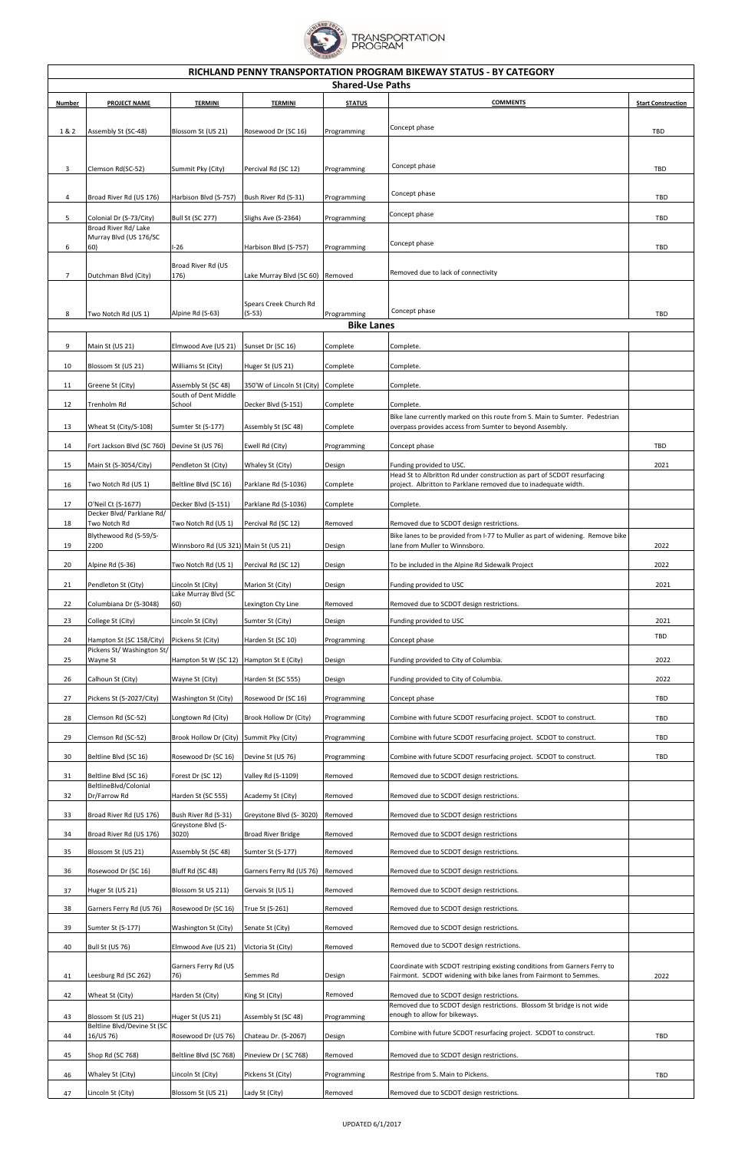

| RICHLAND PENNY TRANSPORTATION PROGRAM BIKEWAY STATUS - BY CATEGORY<br><b>Shared-Use Paths</b> |                                                                           |                                                                 |                                              |                            |                                                                                                                                            |                           |  |  |  |  |
|-----------------------------------------------------------------------------------------------|---------------------------------------------------------------------------|-----------------------------------------------------------------|----------------------------------------------|----------------------------|--------------------------------------------------------------------------------------------------------------------------------------------|---------------------------|--|--|--|--|
| <b>Number</b>                                                                                 | <b>PROJECT NAME</b>                                                       | <b>TERMINI</b>                                                  | <b>TERMINI</b>                               | <b>STATUS</b>              | <b>COMMENTS</b>                                                                                                                            | <b>Start Construction</b> |  |  |  |  |
|                                                                                               |                                                                           |                                                                 |                                              |                            |                                                                                                                                            |                           |  |  |  |  |
| 1&2                                                                                           | Assembly St (SC-48)                                                       | Blossom St (US 21)                                              | Rosewood Dr (SC 16)                          | Programming                | Concept phase                                                                                                                              | TBD                       |  |  |  |  |
| 3                                                                                             | Clemson Rd(SC-52)                                                         | Summit Pky (City)                                               | Percival Rd (SC 12)                          | Programming                | Concept phase                                                                                                                              | TBD                       |  |  |  |  |
|                                                                                               |                                                                           |                                                                 |                                              |                            | Concept phase                                                                                                                              |                           |  |  |  |  |
| 4                                                                                             | Broad River Rd (US 176)                                                   | Harbison Blvd (S-757)                                           | Bush River Rd (S-31)                         | Programming                | Concept phase                                                                                                                              | TBD                       |  |  |  |  |
| 5                                                                                             | Colonial Dr (S-73/City)<br>Broad River Rd/ Lake<br>Murray Blvd (US 176/SC | <b>Bull St (SC 277)</b>                                         | Slighs Ave (S-2364)                          | Programming                |                                                                                                                                            | TBD                       |  |  |  |  |
| 6                                                                                             | 60)                                                                       | $I-26$                                                          | Harbison Blvd (S-757)                        | Programming                | Concept phase                                                                                                                              | TBD                       |  |  |  |  |
| $\overline{7}$                                                                                | Dutchman Blvd (City)                                                      | Broad River Rd (US<br>176)                                      | Lake Murray Blvd (SC 60)                     | Removed                    | Removed due to lack of connectivity                                                                                                        |                           |  |  |  |  |
|                                                                                               |                                                                           |                                                                 | Spears Creek Church Rd                       |                            |                                                                                                                                            |                           |  |  |  |  |
| 8                                                                                             | Two Notch Rd (US 1)                                                       | Alpine Rd (S-63)                                                | (S-53)                                       | Programming                | Concept phase                                                                                                                              | TBD                       |  |  |  |  |
| <b>Bike Lanes</b>                                                                             |                                                                           |                                                                 |                                              |                            |                                                                                                                                            |                           |  |  |  |  |
| 9                                                                                             | Main St (US 21)                                                           | Elmwood Ave (US 21)                                             | Sunset Dr (SC 16)                            | Complete                   | Complete.                                                                                                                                  |                           |  |  |  |  |
| 10                                                                                            | Blossom St (US 21)                                                        | Williams St (City)                                              | Huger St (US 21)                             | Complete                   | Complete.                                                                                                                                  |                           |  |  |  |  |
| 11                                                                                            | Greene St (City)                                                          | Assembly St (SC 48)<br>South of Dent Middle                     | 350'W of Lincoln St (City) Complete          |                            | Complete.                                                                                                                                  |                           |  |  |  |  |
| 12                                                                                            | Trenholm Rd                                                               | School                                                          | Decker Blvd (S-151)                          | Complete                   | Complete.                                                                                                                                  |                           |  |  |  |  |
| 13                                                                                            | Wheat St (City/S-108)                                                     | Sumter St (S-177)                                               | Assembly St (SC 48)                          | Complete                   | Bike lane currently marked on this route from S. Main to Sumter. Pedestrian<br>overpass provides access from Sumter to beyond Assembly.    |                           |  |  |  |  |
| 14                                                                                            | Fort Jackson Blvd (SC 760)   Devine St (US 76)                            |                                                                 | Ewell Rd (City)                              | Programming                | Concept phase                                                                                                                              | TBD                       |  |  |  |  |
| 15                                                                                            | Main St (S-3054/City)                                                     | Pendleton St (City)                                             | Whaley St (City)                             | Design                     | Funding provided to USC.                                                                                                                   | 2021                      |  |  |  |  |
| 16                                                                                            | Two Notch Rd (US 1)                                                       | Beltline Blvd (SC 16)                                           | Parklane Rd (S-1036)                         | Complete                   | Head St to Albritton Rd under construction as part of SCDOT resurfacing<br>project. Albritton to Parklane removed due to inadequate width. |                           |  |  |  |  |
| 17                                                                                            | O'Neil Ct (S-1677)                                                        | Decker Blvd (S-151)                                             | Parklane Rd (S-1036)                         | Complete                   | Complete.                                                                                                                                  |                           |  |  |  |  |
| 18                                                                                            | Decker Blvd/ Parklane Rd/<br>Two Notch Rd                                 | Two Notch Rd (US 1)                                             | Percival Rd (SC 12)                          | Removed                    | Removed due to SCDOT design restrictions.                                                                                                  |                           |  |  |  |  |
| 19                                                                                            | Blythewood Rd (S-59/S-<br>2200                                            | Winnsboro Rd (US 321) Main St (US 21)                           |                                              | Design                     | Bike lanes to be provided from I-77 to Muller as part of widening. Remove bike<br>lane from Muller to Winnsboro.                           | 2022                      |  |  |  |  |
| 20                                                                                            | Alpine Rd (S-36)                                                          | Two Notch Rd (US 1)                                             | Percival Rd (SC 12)                          | Design                     | To be included in the Alpine Rd Sidewalk Project                                                                                           | 2022                      |  |  |  |  |
| 21                                                                                            | Pendleton St (City)                                                       | Lincoln St (City)                                               | Marion St (City)                             | Design                     | Funding provided to USC                                                                                                                    | 2021                      |  |  |  |  |
| 22                                                                                            | Columbiana Dr (S-3048)                                                    | Lake Murray Blvd (SC<br>60)                                     | Lexington Cty Line                           | Removed                    | Removed due to SCDOT design restrictions.                                                                                                  |                           |  |  |  |  |
| 23                                                                                            | College St (City)                                                         | Lincoln St (City)                                               | Sumter St (City)                             | Design                     | Funding provided to USC                                                                                                                    | 2021                      |  |  |  |  |
| 24                                                                                            | Hampton St (SC 158/City)                                                  | Pickens St (City)                                               | Harden St (SC 10)                            | Programming                | Concept phase                                                                                                                              | TBD                       |  |  |  |  |
| 25                                                                                            | Pickens St/ Washington St/<br>Wayne St                                    | Hampton St W (SC 12)   Hampton St E (City)                      |                                              | Design                     | Funding provided to City of Columbia.                                                                                                      | 2022                      |  |  |  |  |
| 26                                                                                            | Calhoun St (City)                                                         | Wayne St (City)                                                 | Harden St (SC 555)                           | Design                     | Funding provided to City of Columbia.                                                                                                      | 2022                      |  |  |  |  |
| 27                                                                                            | Pickens St (S-2027/City)                                                  | Washington St (City)                                            | Rosewood Dr (SC 16)                          | Programming                | Concept phase                                                                                                                              | TBD                       |  |  |  |  |
|                                                                                               |                                                                           |                                                                 |                                              |                            |                                                                                                                                            |                           |  |  |  |  |
| 28                                                                                            | Clemson Rd (SC-52)                                                        | Longtown Rd (City)                                              | Brook Hollow Dr (City)                       | Programming                | Combine with future SCDOT resurfacing project. SCDOT to construct.                                                                         | TBD                       |  |  |  |  |
| 29<br>30                                                                                      | Clemson Rd (SC-52)                                                        | Brook Hollow Dr (City) Summit Pky (City)<br>Rosewood Dr (SC 16) | Devine St (US 76)                            | Programming<br>Programming | Combine with future SCDOT resurfacing project. SCDOT to construct.<br>Combine with future SCDOT resurfacing project. SCDOT to construct.   | TBD<br>TBD                |  |  |  |  |
|                                                                                               | Beltline Blvd (SC 16)                                                     |                                                                 |                                              |                            |                                                                                                                                            |                           |  |  |  |  |
| 31                                                                                            | Beltline Blvd (SC 16)<br>BeltlineBlvd/Colonial                            | Forest Dr (SC 12)                                               | Valley Rd (S-1109)                           | Removed                    | Removed due to SCDOT design restrictions.                                                                                                  |                           |  |  |  |  |
| 32<br>33                                                                                      | Dr/Farrow Rd<br>Broad River Rd (US 176)                                   | Harden St (SC 555)<br>Bush River Rd (S-31)                      | Academy St (City)<br>Greystone Blvd (S-3020) | Removed<br>Removed         | Removed due to SCDOT design restrictions.<br>Removed due to SCDOT design restrictions                                                      |                           |  |  |  |  |
| 34                                                                                            | Broad River Rd (US 176)                                                   | Greystone Blvd (S-<br>3020)                                     | <b>Broad River Bridge</b>                    | Removed                    | Removed due to SCDOT design restrictions                                                                                                   |                           |  |  |  |  |
| 35                                                                                            | Blossom St (US 21)                                                        | Assembly St (SC 48)                                             | Sumter St (S-177)                            | Removed                    | Removed due to SCDOT design restrictions.                                                                                                  |                           |  |  |  |  |
| 36                                                                                            | Rosewood Dr (SC 16)                                                       | Bluff Rd (SC 48)                                                | Garners Ferry Rd (US 76)                     | Removed                    | Removed due to SCDOT design restrictions.                                                                                                  |                           |  |  |  |  |
| 37                                                                                            | Huger St (US 21)                                                          | Blossom St US 211)                                              | Gervais St (US 1)                            | Removed                    | Removed due to SCDOT design restrictions.                                                                                                  |                           |  |  |  |  |
| 38                                                                                            | Garners Ferry Rd (US 76)                                                  | Rosewood Dr (SC 16)                                             | True St (S-261)                              | Removed                    | Removed due to SCDOT design restrictions.                                                                                                  |                           |  |  |  |  |
| 39                                                                                            | Sumter St (S-177)                                                         | Washington St (City)                                            | Senate St (City)                             | Removed                    | Removed due to SCDOT design restrictions.                                                                                                  |                           |  |  |  |  |
| 40                                                                                            | Bull St (US 76)                                                           | Elmwood Ave (US 21)                                             | Victoria St (City)                           | Removed                    | Removed due to SCDOT design restrictions.                                                                                                  |                           |  |  |  |  |
|                                                                                               |                                                                           | Garners Ferry Rd (US                                            |                                              |                            | Coordinate with SCDOT restriping existing conditions from Garners Ferry to                                                                 |                           |  |  |  |  |
| 41                                                                                            | Leesburg Rd (SC 262)                                                      | 76)                                                             | Semmes Rd                                    | Design                     | Fairmont. SCDOT widening with bike lanes from Fairmont to Semmes.                                                                          | 2022                      |  |  |  |  |
| 42                                                                                            | Wheat St (City)                                                           | Harden St (City)                                                | King St (City)                               | Removed                    | Removed due to SCDOT design restrictions.<br>Removed due to SCDOT design restrictions. Blossom St bridge is not wide                       |                           |  |  |  |  |
| 43                                                                                            | Blossom St (US 21)<br>Beltline Blvd/Devine St (SC                         | Huger St (US 21)                                                | Assembly St (SC 48)                          | Programming                | enough to allow for bikeways.                                                                                                              |                           |  |  |  |  |
| 44                                                                                            | 16/US 76)                                                                 | Rosewood Dr (US 76)                                             | Chateau Dr. (S-2067)                         | Design                     | Combine with future SCDOT resurfacing project. SCDOT to construct.                                                                         | TBD                       |  |  |  |  |
| 45                                                                                            | Shop Rd (SC 768)                                                          | Beltline Blvd (SC 768)                                          | Pineview Dr (SC 768)                         | Removed                    | Removed due to SCDOT design restrictions.                                                                                                  |                           |  |  |  |  |
| 46                                                                                            | Whaley St (City)                                                          | Lincoln St (City)                                               | Pickens St (City)                            | Programming                | Restripe from S. Main to Pickens.                                                                                                          | TBD                       |  |  |  |  |
| 47                                                                                            | Lincoln St (City)                                                         | Blossom St (US 21)                                              | Lady St (City)                               | Removed                    | Removed due to SCDOT design restrictions.                                                                                                  |                           |  |  |  |  |